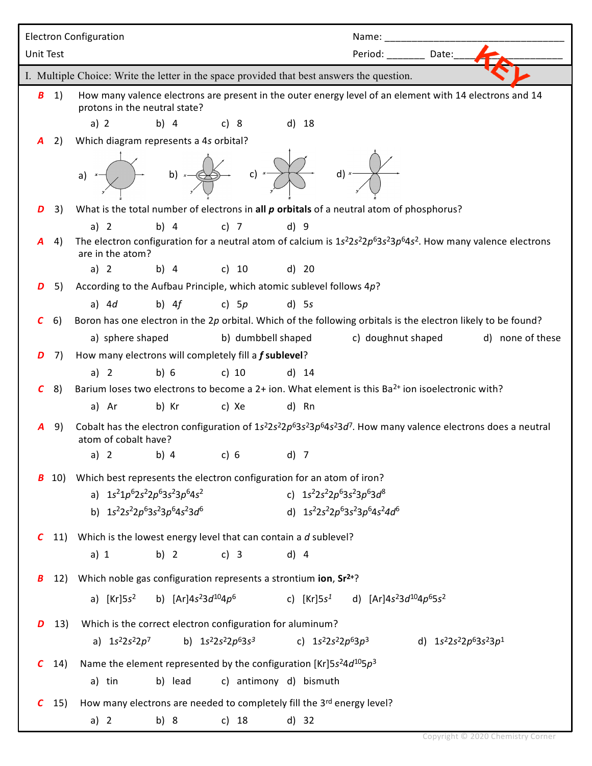|                                                                                            |     | <b>Electron Configuration</b>                                                                                                               | Name:                                                                   |  |
|--------------------------------------------------------------------------------------------|-----|---------------------------------------------------------------------------------------------------------------------------------------------|-------------------------------------------------------------------------|--|
| <b>Unit Test</b>                                                                           |     |                                                                                                                                             | Period: Date:                                                           |  |
| I. Multiple Choice: Write the letter in the space provided that best answers the question. |     |                                                                                                                                             |                                                                         |  |
| B                                                                                          | 1)  | How many valence electrons are present in the outer energy level of an element with 14 electrons and 14                                     |                                                                         |  |
|                                                                                            |     | protons in the neutral state?                                                                                                               |                                                                         |  |
|                                                                                            |     | b) $4$<br>a) 2<br>c) 8<br>$d)$ 18                                                                                                           |                                                                         |  |
|                                                                                            | 2)  | Which diagram represents a 4s orbital?                                                                                                      |                                                                         |  |
|                                                                                            |     | b) $\leftarrow \qquad \qquad$ c) $\rightarrow$<br>d) $x \rightarrow$<br>a)                                                                  |                                                                         |  |
| D                                                                                          | 3)  | What is the total number of electrons in all p orbitals of a neutral atom of phosphorus?                                                    |                                                                         |  |
|                                                                                            |     | a) $2$<br>b) $4$<br>$c)$ 7<br>d) 9                                                                                                          |                                                                         |  |
|                                                                                            | 4)  | The electron configuration for a neutral atom of calcium is $1s^22s^22p^63s^23p^64s^2$ . How many valence electrons<br>are in the atom?     |                                                                         |  |
|                                                                                            |     | a) $2$<br>b) 4 c) 10<br>d) 20                                                                                                               |                                                                         |  |
| D                                                                                          | 5)  | According to the Aufbau Principle, which atomic sublevel follows $4p$ ?                                                                     |                                                                         |  |
|                                                                                            |     | b) $4f$<br>a) $4d$<br>c) $5p$<br>$d)$ 5s                                                                                                    |                                                                         |  |
| C                                                                                          | 6)  | Boron has one electron in the 2p orbital. Which of the following orbitals is the electron likely to be found?                               |                                                                         |  |
|                                                                                            |     | a) sphere shaped<br>b) dumbbell shaped                                                                                                      | c) doughnut shaped<br>d) none of these                                  |  |
| D                                                                                          | 7)  | How many electrons will completely fill a f sublevel?                                                                                       |                                                                         |  |
|                                                                                            |     | b) 6<br>a) $2$<br>c) $10$<br>$d)$ 14                                                                                                        |                                                                         |  |
| C                                                                                          | 8)  | Barium loses two electrons to become a 2+ ion. What element is this Ba <sup>2+</sup> ion isoelectronic with?                                |                                                                         |  |
|                                                                                            |     | a) Ar<br>b) Kr<br>c) Xe<br>d) Rn                                                                                                            |                                                                         |  |
| A                                                                                          | 9)  | Cobalt has the electron configuration of $1s^22s^22p^63s^23p^64s^23d^7$ . How many valence electrons does a neutral<br>atom of cobalt have? |                                                                         |  |
|                                                                                            |     | a) 2 b) 4 c) 6 d) 7                                                                                                                         |                                                                         |  |
| В                                                                                          | 10) | Which best represents the electron configuration for an atom of iron?                                                                       |                                                                         |  |
|                                                                                            |     | a) $1s^21p^62s^22p^63s^23p^64s^2$<br>c) $1s^22s^22p^63s^23p^63d^8$                                                                          |                                                                         |  |
|                                                                                            |     | b) $1s^22s^22p^63s^23p^64s^23d^6$<br>d) $1s^{2}2s^{2}2p^{6}3s^{2}3p^{6}4s^{2}4d^{6}$                                                        |                                                                         |  |
| C                                                                                          |     | 11) Which is the lowest energy level that can contain a $d$ sublevel?                                                                       |                                                                         |  |
|                                                                                            |     | a) 1<br>b) $2$<br>c) $3$<br>$d)$ 4                                                                                                          |                                                                         |  |
| В                                                                                          | 12) | Which noble gas configuration represents a strontium ion, Sr <sup>2+</sup> ?                                                                |                                                                         |  |
|                                                                                            |     | b) $[Ar]4s^23d^{10}4p^6$<br>a) $[Kr] 5s2$<br>c) $[Kr] 5s^1$                                                                                 | d) [Ar]4s <sup>2</sup> 3d <sup>10</sup> 4p <sup>6</sup> 5s <sup>2</sup> |  |
|                                                                                            |     |                                                                                                                                             |                                                                         |  |
| D                                                                                          | 13) | Which is the correct electron configuration for aluminum?                                                                                   |                                                                         |  |
|                                                                                            |     | a) $1s^2 2s^2 2p^7$<br>b) $1s^2 2s^2 2p^6 3s^3$<br>c) $1s^2 2s^2 2p^6 3p^3$                                                                 | d) $1s^2 2s^2 2p^6 3s^2 3p^1$                                           |  |
| C                                                                                          | 14) | Name the element represented by the configuration [Kr]5s <sup>2</sup> 4d <sup>10</sup> 5p <sup>3</sup>                                      |                                                                         |  |
|                                                                                            |     | b) lead<br>c) antimony d) bismuth<br>a) tin                                                                                                 |                                                                         |  |
| C                                                                                          | 15) | How many electrons are needed to completely fill the 3rd energy level?                                                                      |                                                                         |  |
|                                                                                            |     | b) 8<br>c) $18$<br>$d)$ 32<br>a) $2$                                                                                                        |                                                                         |  |